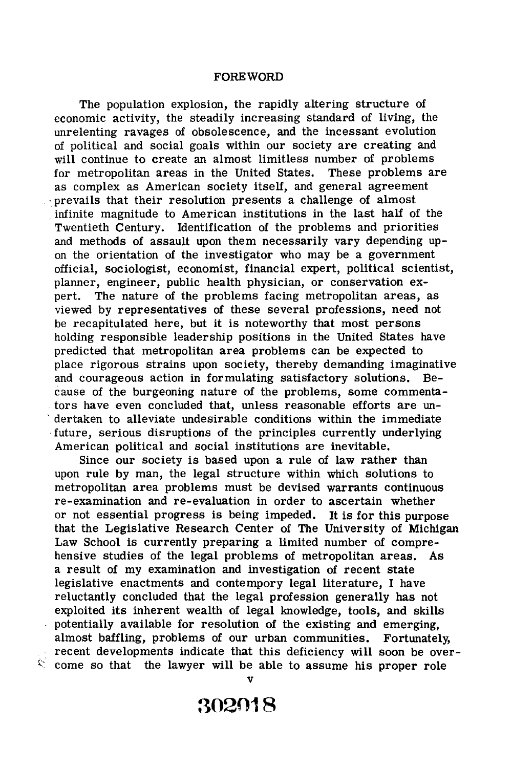## **FOREWORD**

The population explosion, the rapidly altering structure of economic activity, the steadily increasing standard of living, the unrelenting ravages of obsolescence, and the incessant evolution of political and social goals within our society are creating and will continue to create an almost limitless number of problems for metropolitan areas in the United States. These problems are as complex as American society itself, and general agreement prevails that their resolution presents a challenge of almost . infinite magnitude to American institutions in the last half of the Twentieth Century. Identification of the problems and priorities and methods of assault upon them necessarily vary depending upon the orientation of the investigator who may be a government official, sociologist, economist, financial expert, political scientist, planner, engineer, public health physician, or conservation expert. The nature of the problems facing metropolitan areas, as viewed by representatives of these several professions, need not be recapitulated here, but it is noteworthy that most persons holding responsible leadership positions in the United States have predicted that metropolitan area problems can be expected to place rigorous strains upon society, thereby demanding imaginative and courageous action in formulating satisfactory solutions. Because of the burgeoning nature of the problems, some commentators have even concluded that, unless reasonable efforts are un dertaken to alleviate undesirable conditions within the immediate future, serious disruptions of the principles currently underlying American political and social institutions are inevitable.

Since our society is based upon a rule of law rather than upon rule by man, the legal structure within which solutions to metropolitan area problems must be devised warrants continuous re-examination and re-evaluation in order to ascertain whether or not essential progress is being impeded. It is for this purpose that the Legislative Research Center of The University of Michigan Law School is currently preparing a limited number of comprehensive studies of the legal problems of metropolitan areas. As a result of my examination and investigation of recent state legislative enactments and contempory legal literature, I have reluctantly concluded that the legal profession generally has not exploited its inherent wealth of legal knowledge, tools, and skills potentially available for resolution of the existing and emerging, almost baffling, problems of our urban communities. Fortunately, recent developments indicate that this deficiency will soon be over- $\zeta$  come so that the lawyer will be able to assume his proper role

V